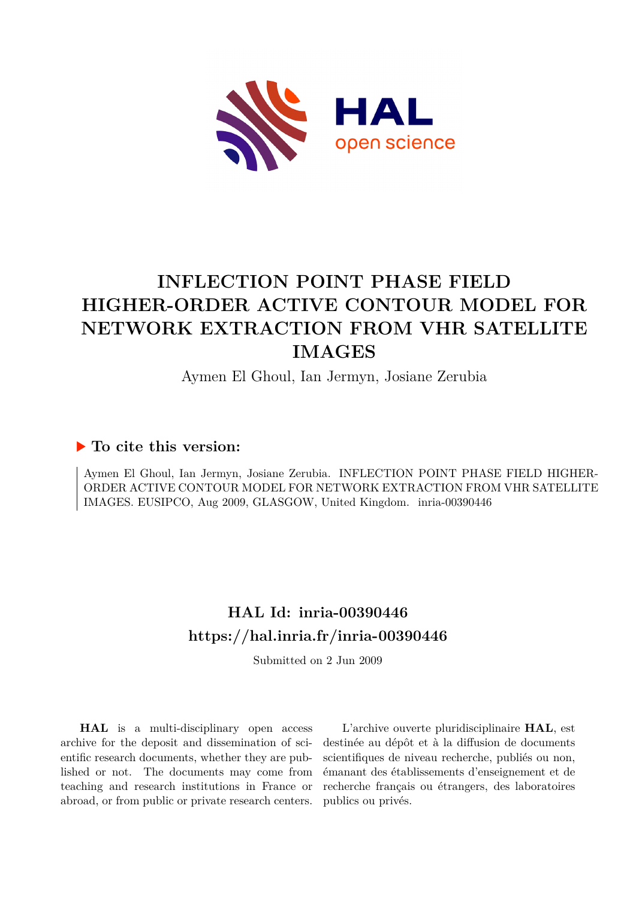

# **INFLECTION POINT PHASE FIELD HIGHER-ORDER ACTIVE CONTOUR MODEL FOR NETWORK EXTRACTION FROM VHR SATELLITE IMAGES**

Aymen El Ghoul, Ian Jermyn, Josiane Zerubia

### **To cite this version:**

Aymen El Ghoul, Ian Jermyn, Josiane Zerubia. INFLECTION POINT PHASE FIELD HIGHER-ORDER ACTIVE CONTOUR MODEL FOR NETWORK EXTRACTION FROM VHR SATELLITE IMAGES. EUSIPCO, Aug 2009, GLASGOW, United Kingdom. inria-00390446

## **HAL Id: inria-00390446 <https://hal.inria.fr/inria-00390446>**

Submitted on 2 Jun 2009

**HAL** is a multi-disciplinary open access archive for the deposit and dissemination of scientific research documents, whether they are published or not. The documents may come from teaching and research institutions in France or abroad, or from public or private research centers.

L'archive ouverte pluridisciplinaire **HAL**, est destinée au dépôt et à la diffusion de documents scientifiques de niveau recherche, publiés ou non, émanant des établissements d'enseignement et de recherche français ou étrangers, des laboratoires publics ou privés.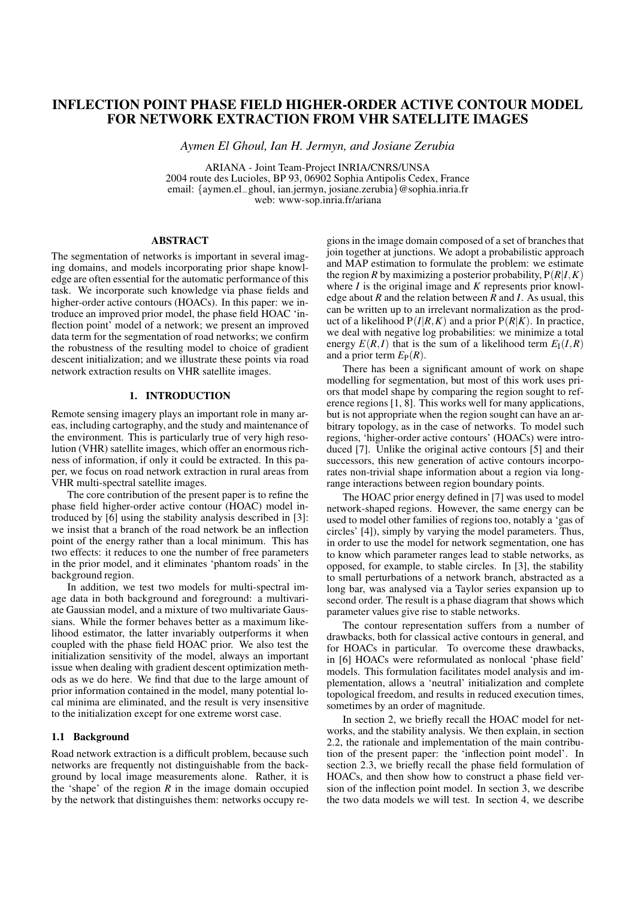### **INFLECTION POINT PHASE FIELD HIGHER-ORDER ACTIVE CONTOUR MODEL FOR NETWORK EXTRACTION FROM VHR SATELLITE IMAGES**

*Aymen El Ghoul, Ian H. Jermyn, and Josiane Zerubia*

ARIANA - Joint Team-Project INRIA/CNRS/UNSA 2004 route des Lucioles, BP 93, 06902 Sophia Antipolis Cedex, France email: {aymen.el−ghoul, ian.jermyn, josiane.zerubia}@sophia.inria.fr web: www-sop.inria.fr/ariana

#### **ABSTRACT**

The segmentation of networks is important in several imaging domains, and models incorporating prior shape knowledge are often essential for the automatic performance of this task. We incorporate such knowledge via phase fields and higher-order active contours (HOACs). In this paper: we introduce an improved prior model, the phase field HOAC 'inflection point' model of a network; we present an improved data term for the segmentation of road networks; we confirm the robustness of the resulting model to choice of gradient descent initialization; and we illustrate these points via road network extraction results on VHR satellite images.

#### **1. INTRODUCTION**

Remote sensing imagery plays an important role in many areas, including cartography, and the study and maintenance of the environment. This is particularly true of very high resolution (VHR) satellite images, which offer an enormous richness of information, if only it could be extracted. In this paper, we focus on road network extraction in rural areas from VHR multi-spectral satellite images.

The core contribution of the present paper is to refine the phase field higher-order active contour (HOAC) model introduced by [6] using the stability analysis described in [3]: we insist that a branch of the road network be an inflection point of the energy rather than a local minimum. This has two effects: it reduces to one the number of free parameters in the prior model, and it eliminates 'phantom roads' in the background region.

In addition, we test two models for multi-spectral image data in both background and foreground: a multivariate Gaussian model, and a mixture of two multivariate Gaussians. While the former behaves better as a maximum likelihood estimator, the latter invariably outperforms it when coupled with the phase field HOAC prior. We also test the initialization sensitivity of the model, always an important issue when dealing with gradient descent optimization methods as we do here. We find that due to the large amount of prior information contained in the model, many potential local minima are eliminated, and the result is very insensitive to the initialization except for one extreme worst case.

#### **1.1 Background**

Road network extraction is a difficult problem, because such networks are frequently not distinguishable from the background by local image measurements alone. Rather, it is the 'shape' of the region  $R$  in the image domain occupied by the network that distinguishes them: networks occupy regions in the image domain composed of a set of branches that join together at junctions. We adopt a probabilistic approach and MAP estimation to formulate the problem: we estimate the region *R* by maximizing a posterior probability,  $P(R|I,K)$ where *I* is the original image and *K* represents prior knowledge about *R* and the relation between *R* and *I*. As usual, this can be written up to an irrelevant normalization as the product of a likelihood  $P(I|R,K)$  and a prior  $P(R|K)$ . In practice, we deal with negative log probabilities: we minimize a total energy  $E(R, I)$  that is the sum of a likelihood term  $E_I(I, R)$ and a prior term  $E_P(R)$ .

There has been a significant amount of work on shape modelling for segmentation, but most of this work uses priors that model shape by comparing the region sought to reference regions [1, 8]. This works well for many applications, but is not appropriate when the region sought can have an arbitrary topology, as in the case of networks. To model such regions, 'higher-order active contours' (HOACs) were introduced [7]. Unlike the original active contours [5] and their successors, this new generation of active contours incorporates non-trivial shape information about a region via longrange interactions between region boundary points.

The HOAC prior energy defined in [7] was used to model network-shaped regions. However, the same energy can be used to model other families of regions too, notably a 'gas of circles' [4]), simply by varying the model parameters. Thus, in order to use the model for network segmentation, one has to know which parameter ranges lead to stable networks, as opposed, for example, to stable circles. In [3], the stability to small perturbations of a network branch, abstracted as a long bar, was analysed via a Taylor series expansion up to second order. The result is a phase diagram that shows which parameter values give rise to stable networks.

The contour representation suffers from a number of drawbacks, both for classical active contours in general, and for HOACs in particular. To overcome these drawbacks, in [6] HOACs were reformulated as nonlocal 'phase field' models. This formulation facilitates model analysis and implementation, allows a 'neutral' initialization and complete topological freedom, and results in reduced execution times, sometimes by an order of magnitude.

In section 2, we briefly recall the HOAC model for networks, and the stability analysis. We then explain, in section 2.2, the rationale and implementation of the main contribution of the present paper: the 'inflection point model'. In section 2.3, we briefly recall the phase field formulation of HOACs, and then show how to construct a phase field version of the inflection point model. In section 3, we describe the two data models we will test. In section 4, we describe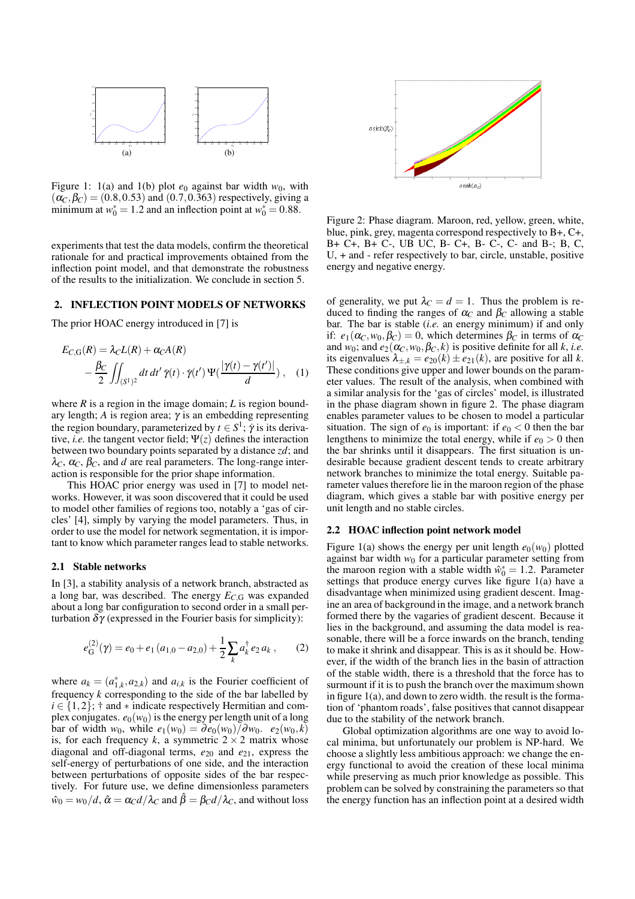

Figure 1: 1(a) and 1(b) plot  $e_0$  against bar width  $w_0$ , with  $(\alpha_C, \beta_C) = (0.8, 0.53)$  and  $(0.7, 0.363)$  respectively, giving a minimum at  $w_0^* = 1.2$  and an inflection point at  $w_0^* = 0.88$ .

experiments that test the data models, confirm the theoretical rationale for and practical improvements obtained from the inflection point model, and that demonstrate the robustness of the results to the initialization. We conclude in section 5.

#### **2. INFLECTION POINT MODELS OF NETWORKS**

The prior HOAC energy introduced in [7] is

$$
E_{C,G}(R) = \lambda_C L(R) + \alpha_C A(R)
$$
  
 
$$
- \frac{\beta_C}{2} \iint_{(S^1)^2} dt \, dt' \, \dot{\gamma}(t) \cdot \dot{\gamma}(t') \, \Psi(\frac{|\gamma(t) - \gamma(t')|}{d}) \,, \quad (1)
$$

where  $R$  is a region in the image domain;  $L$  is region boundary length; *A* is region area; γ is an embedding representing the region boundary, parameterized by  $t \in S^1$ ;  $\dot{\gamma}$  is its derivative, *i.e.* the tangent vector field;  $\Psi(z)$  defines the interaction between two boundary points separated by a distance *zd*; and  $\lambda_C$ ,  $\alpha_C$ ,  $\beta_C$ , and *d* are real parameters. The long-range interaction is responsible for the prior shape information.

This HOAC prior energy was used in [7] to model networks. However, it was soon discovered that it could be used to model other families of regions too, notably a 'gas of circles' [4], simply by varying the model parameters. Thus, in order to use the model for network segmentation, it is important to know which parameter ranges lead to stable networks.

#### **2.1 Stable networks**

In [3], a stability analysis of a network branch, abstracted as a long bar, was described. The energy *EC*,<sup>G</sup> was expanded about a long bar configuration to second order in a small perturbation  $δγ$  (expressed in the Fourier basis for simplicity):

$$
e_{\mathcal{G}}^{(2)}(\gamma) = e_0 + e_1 (a_{1,0} - a_{2,0}) + \frac{1}{2} \sum_k a_k^{\dagger} e_2 a_k , \qquad (2)
$$

where  $a_k = (a_{1,k}^*, a_{2,k})$  and  $a_{i,k}$  is the Fourier coefficient of frequency *k* corresponding to the side of the bar labelled by  $i \in \{1, 2\}$ ; † and  $*$  indicate respectively Hermitian and complex conjugates.  $e_0(w_0)$  is the energy per length unit of a long  $\phi$  bar of width *w*<sub>0</sub>, while  $e_1(w_0) = \partial e_0(w_0)/\partial w_0$ .  $e_2(w_0,k)$ is, for each frequency *k*, a symmetric  $2 \times 2$  matrix whose diagonal and off-diagonal terms, *e*<sup>20</sup> and *e*21, express the self-energy of perturbations of one side, and the interaction between perturbations of opposite sides of the bar respectively. For future use, we define dimensionless parameters  $\hat{w}_0 = w_0/d$ ,  $\hat{\alpha} = \alpha_C d/\lambda_C$  and  $\hat{\beta} = \beta_C d/\lambda_C$ , and without loss



Figure 2: Phase diagram. Maroon, red, yellow, green, white, blue, pink, grey, magenta correspond respectively to B+, C+, B+ C+, B+ C-, UB UC, B- C+, B- C-, C- and B-; B, C, U, + and - refer respectively to bar, circle, unstable, positive energy and negative energy.

of generality, we put  $\lambda_c = d = 1$ . Thus the problem is reduced to finding the ranges of  $\alpha_C$  and  $\beta_C$  allowing a stable bar. The bar is stable (*i.e.* an energy minimum) if and only if:  $e_1(\alpha_C, w_0, \beta_C) = 0$ , which determines  $\beta_C$  in terms of  $\alpha_C$ and  $w_0$ ; and  $e_2(\alpha_C, w_0, \beta_C, k)$  is positive definite for all *k*, *i.e.* its eigenvalues  $\lambda_{+k} = e_{20}(k) \pm e_{21}(k)$ , are positive for all k. These conditions give upper and lower bounds on the parameter values. The result of the analysis, when combined with a similar analysis for the 'gas of circles' model, is illustrated in the phase diagram shown in figure 2. The phase diagram enables parameter values to be chosen to model a particular situation. The sign of  $e_0$  is important: if  $e_0 < 0$  then the bar lengthens to minimize the total energy, while if  $e_0 > 0$  then the bar shrinks until it disappears. The first situation is undesirable because gradient descent tends to create arbitrary network branches to minimize the total energy. Suitable parameter values therefore lie in the maroon region of the phase diagram, which gives a stable bar with positive energy per unit length and no stable circles.

#### **2.2 HOAC inflection point network model**

Figure 1(a) shows the energy per unit length  $e_0(w_0)$  plotted against bar width  $w_0$  for a particular parameter setting from the maroon region with a stable width  $\hat{w}_0^* = 1.2$ . Parameter settings that produce energy curves like figure 1(a) have a disadvantage when minimized using gradient descent. Imagine an area of background in the image, and a network branch formed there by the vagaries of gradient descent. Because it lies in the background, and assuming the data model is reasonable, there will be a force inwards on the branch, tending to make it shrink and disappear. This is as it should be. However, if the width of the branch lies in the basin of attraction of the stable width, there is a threshold that the force has to surmount if it is to push the branch over the maximum shown in figure 1(a), and down to zero width. the result is the formation of 'phantom roads', false positives that cannot disappear due to the stability of the network branch.

Global optimization algorithms are one way to avoid local minima, but unfortunately our problem is NP-hard. We choose a slightly less ambitious approach: we change the energy functional to avoid the creation of these local minima while preserving as much prior knowledge as possible. This problem can be solved by constraining the parameters so that the energy function has an inflection point at a desired width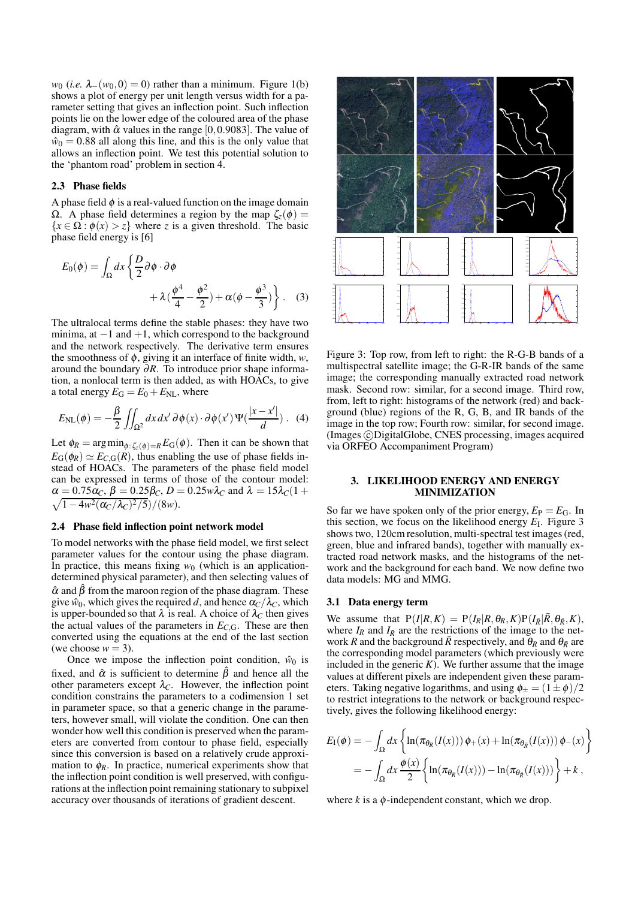*w*<sub>0</sub> (*i.e.*  $\lambda_-(w_0,0) = 0$ ) rather than a minimum. Figure 1(b) shows a plot of energy per unit length versus width for a parameter setting that gives an inflection point. Such inflection points lie on the lower edge of the coloured area of the phase diagram, with  $\hat{\alpha}$  values in the range [0,0.9083]. The value of  $\hat{w}_0 = 0.88$  all along this line, and this is the only value that allows an inflection point. We test this potential solution to the 'phantom road' problem in section 4.

#### **2.3 Phase fields**

A phase field  $\phi$  is a real-valued function on the image domain Ω. A phase field determines a region by the map  $\zeta$ <sub>z</sub>( $\phi$ ) =  ${x \in \Omega : \phi(x) > z}$  where *z* is a given threshold. The basic phase field energy is [6]

$$
E_0(\phi) = \int_{\Omega} dx \left\{ \frac{D}{2} \partial \phi \cdot \partial \phi + \lambda \left( \frac{\phi^4}{4} - \frac{\phi^2}{2} \right) + \alpha (\phi - \frac{\phi^3}{3}) \right\}.
$$
 (3)

The ultralocal terms define the stable phases: they have two minima, at  $-1$  and  $+1$ , which correspond to the background and the network respectively. The derivative term ensures the smoothness of  $\phi$ , giving it an interface of finite width,  $w$ , around the boundary ∂*R*. To introduce prior shape information, a nonlocal term is then added, as with HOACs, to give a total energy  $E_G = E_0 + E_{NL}$ , where

$$
E_{\rm NL}(\phi) = -\frac{\beta}{2} \iint_{\Omega^2} dx \, dx' \, \partial \phi(x) \cdot \partial \phi(x') \, \Psi(\frac{|x - x'|}{d}) \, . \tag{4}
$$

Let  $\phi_R = \arg \min_{\phi: \zeta_z(\phi) = R} E_G(\phi)$ . Then it can be shown that  $E_G(\phi_R) \simeq E_{C,G}(R)$ , thus enabling the use of phase fields instead of HOACs. The parameters of the phase field model can be expressed in terms of those of the contour model:  $\alpha = 0.75 \alpha_C, \beta = 0.25 \beta_C, D = 0.25 w \lambda_C$  and  $\lambda = 15 \lambda_C (1 + \sqrt{1 - 4w^2(\alpha_C/\lambda_C)^2/5})/(8w).$  $1-4w^2(\alpha_C/\lambda_C)^2/5)/(8w).$ 

#### **2.4 Phase field inflection point network model**

To model networks with the phase field model, we first select parameter values for the contour using the phase diagram. In practice, this means fixing  $w_0$  (which is an applicationdetermined physical parameter), and then selecting values of  $\hat{\alpha}$  and  $\hat{\beta}$  from the maroon region of the phase diagram. These give  $\hat{w}_0$ , which gives the required *d*, and hence  $\alpha_C/\lambda_C$ , which is upper-bounded so that  $\lambda$  is real. A choice of  $\lambda_c$  then gives the actual values of the parameters in  $E_{C,G}$ . These are then converted using the equations at the end of the last section (we choose  $w = 3$ ).

Once we impose the inflection point condition,  $\hat{w}_0$  is fixed, and  $\hat{\alpha}$  is sufficient to determine  $\hat{\beta}$  and hence all the other parameters except  $\lambda_C$ . However, the inflection point condition constrains the parameters to a codimension 1 set in parameter space, so that a generic change in the parameters, however small, will violate the condition. One can then wonder how well this condition is preserved when the parameters are converted from contour to phase field, especially since this conversion is based on a relatively crude approximation to  $\phi_R$ . In practice, numerical experiments show that the inflection point condition is well preserved, with configurations at the inflection point remaining stationary to subpixel accuracy over thousands of iterations of gradient descent.



Figure 3: Top row, from left to right: the R-G-B bands of a multispectral satellite image; the G-R-IR bands of the same image; the corresponding manually extracted road network mask. Second row: similar, for a second image. Third row, from, left to right: histograms of the network (red) and background (blue) regions of the R, G, B, and IR bands of the image in the top row; Fourth row: similar, for second image. (Images ©DigitalGlobe, CNES processing, images acquired via ORFEO Accompaniment Program)

#### **3. LIKELIHOOD ENERGY AND ENERGY MINIMIZATION**

So far we have spoken only of the prior energy,  $E_P = E_G$ . In this section, we focus on the likelihood energy  $E_I$ . Figure 3 shows two, 120cm resolution, multi-spectral test images (red, green, blue and infrared bands), together with manually extracted road network masks, and the histograms of the network and the background for each band. We now define two data models: MG and MMG.

#### **3.1 Data energy term**

We assume that  $P(I|R, K) = P(I_R|R, \theta_R, K)P(I_{\bar{R}}|\bar{R}, \theta_{\bar{R}}, K)$ , where  $I_R$  and  $I_{\bar{R}}$  are the restrictions of the image to the network *R* and the background  $\bar{R}$  respectively, and  $\theta_R$  and  $\theta_{\bar{R}}$  are the corresponding model parameters (which previously were included in the generic  $K$ ). We further assume that the image values at different pixels are independent given these parameters. Taking negative logarithms, and using  $\phi_{\pm} = (1 \pm \phi)/2$ to restrict integrations to the network or background respectively, gives the following likelihood energy:

$$
E_{\rm I}(\phi) = -\int_{\Omega} dx \left\{ \ln(\pi_{\theta_R}(I(x))) \phi_+(x) + \ln(\pi_{\theta_R}(I(x))) \phi_-(x) \right\}
$$

$$
= -\int_{\Omega} dx \frac{\phi(x)}{2} \left\{ \ln(\pi_{\theta_R}(I(x))) - \ln(\pi_{\theta_R}(I(x))) \right\} + k,
$$

where  $k$  is a  $\phi$ -independent constant, which we drop.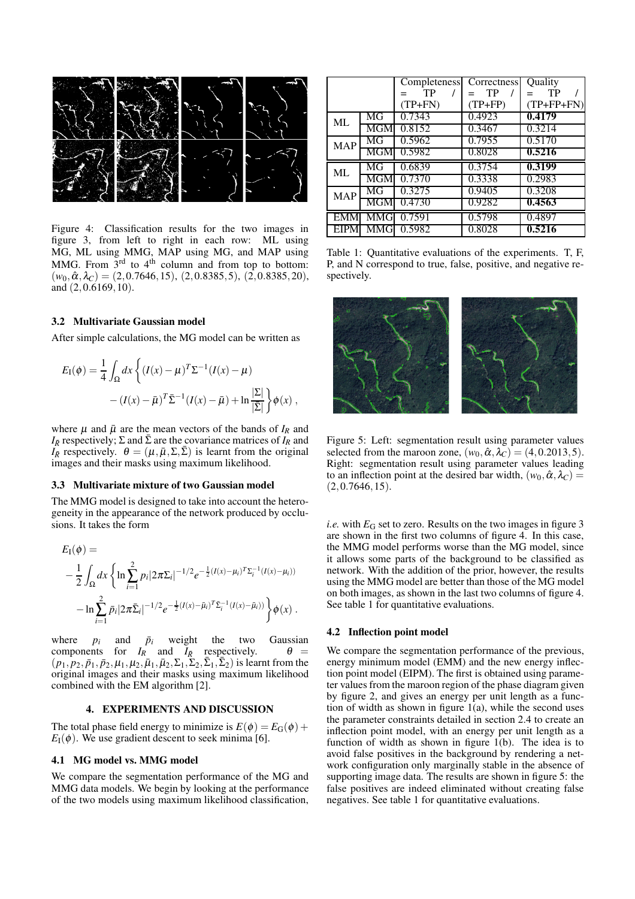

Figure 4: Classification results for the two images in figure 3, from left to right in each row: ML using MG, ML using MMG, MAP using MG, and MAP using MMG. From  $3^{rd}$  to  $4^{th}$  column and from top to bottom:  $(w_0, \hat{\alpha}, \lambda_C) = (2, 0.7646, 15), (2, 0.8385, 5), (2, 0.8385, 20),$ and (2,0.6169,10).

#### **3.2 Multivariate Gaussian model**

After simple calculations, the MG model can be written as

$$
E_{\rm I}(\phi) = \frac{1}{4} \int_{\Omega} dx \left\{ (I(x) - \mu)^{T} \Sigma^{-1} (I(x) - \mu) - (I(x) - \bar{\mu})^{T} \bar{\Sigma}^{-1} (I(x) - \bar{\mu}) + \ln \frac{|\Sigma|}{|\bar{\Sigma}|} \right\} \phi(x) ,
$$

where  $\mu$  and  $\bar{\mu}$  are the mean vectors of the bands of  $I_R$  and  $I_{\bar{R}}$  respectively;  $\Sigma$  and  $\bar{\Sigma}$  are the covariance matrices of  $I_R$  and  $I_{\bar{R}}$  respectively.  $\theta = (\mu, \bar{\mu}, \Sigma, \bar{\Sigma})$  is learnt from the original images and their masks using maximum likelihood.

#### **3.3 Multivariate mixture of two Gaussian model**

The MMG model is designed to take into account the heterogeneity in the appearance of the network produced by occlusions. It takes the form

$$
E_{I}(\phi) =
$$
  
- $\frac{1}{2} \int_{\Omega} dx \left\{ \ln \sum_{i=1}^{2} p_{i} |2\pi \Sigma_{i}|^{-1/2} e^{-\frac{1}{2} (I(x) - \mu_{i})^{T} \Sigma_{i}^{-1} (I(x) - \mu_{i}))} - \ln \sum_{i=1}^{2} \bar{p}_{i} |2\pi \bar{\Sigma}_{i}|^{-1/2} e^{-\frac{1}{2} (I(x) - \bar{\mu}_{i})^{T} \bar{\Sigma}_{i}^{-1} (I(x) - \bar{\mu}_{i}))} \right\} \phi(x).$ 

where  $p_i$  and  $\bar{p}_i$  weight the two Gaussian components for  $I_R$  and  $I_{\bar{R}}$  respectively.  $\theta =$  $(p_1, p_2, \bar{p}_1, \bar{p}_2, \mu_1, \mu_2, \bar{\mu}_1, \bar{\mu}_2, \Sigma_1, \Sigma_2, \bar{\Sigma}_1, \bar{\Sigma}_2)$  is learnt from the original images and their masks using maximum likelihood combined with the EM algorithm [2].

#### **4. EXPERIMENTS AND DISCUSSION**

The total phase field energy to minimize is  $E(\phi) = E_G(\phi) +$  $E_I(\phi)$ . We use gradient descent to seek minima [6].

#### **4.1 MG model vs. MMG model**

We compare the segmentation performance of the MG and MMG data models. We begin by looking at the performance of the two models using maximum likelihood classification,

|            |            | <b>Completeness</b> | Correctness | Quality      |
|------------|------------|---------------------|-------------|--------------|
|            |            | TP                  | TP          | TP           |
|            |            | $(TP+FN)$           | $(TP+FP)$   | $(TP+FP+FN)$ |
| ML         | MG         | 0.7343              | 0.4923      | 0.4179       |
|            | MGM        | 0.8152              | 0.3467      | 0.3214       |
| <b>MAP</b> | MG         | 0.5962              | 0.7955      | 0.5170       |
|            | MGM        | 0.5982              | 0.8028      | 0.5216       |
| ML         | MG         | 0.6839              | 0.3754      | 0.3199       |
|            | <b>MGM</b> | 0.7370              | 0.3338      | 0.2983       |
| <b>MAP</b> | MG         | 0.3275              | 0.9405      | 0.3208       |
|            | MGM        | 0.4730              | 0.9282      | 0.4563       |
| <b>EMM</b> | MMG        | 0.7591              | 0.5798      | 0.4897       |
|            | MMGI       | 0.5982              | 0.8028      | 0.5216       |

Table 1: Quantitative evaluations of the experiments. T, F, P, and N correspond to true, false, positive, and negative respectively.



Figure 5: Left: segmentation result using parameter values selected from the maroon zone,  $(w_0, \hat{\alpha}, \lambda_C) = (4, 0.2013, 5)$ . Right: segmentation result using parameter values leading to an inflection point at the desired bar width,  $(w_0, \hat{\alpha}, \lambda_C)$  =  $(2,0.7646,15)$ .

*i.e.* with  $E_G$  set to zero. Results on the two images in figure 3 are shown in the first two columns of figure 4. In this case, the MMG model performs worse than the MG model, since it allows some parts of the background to be classified as network. With the addition of the prior, however, the results using the MMG model are better than those of the MG model on both images, as shown in the last two columns of figure 4. See table 1 for quantitative evaluations.

#### **4.2 Inflection point model**

We compare the segmentation performance of the previous, energy minimum model (EMM) and the new energy inflection point model (EIPM). The first is obtained using parameter values from the maroon region of the phase diagram given by figure 2, and gives an energy per unit length as a function of width as shown in figure 1(a), while the second uses the parameter constraints detailed in section 2.4 to create an inflection point model, with an energy per unit length as a function of width as shown in figure 1(b). The idea is to avoid false positives in the background by rendering a network configuration only marginally stable in the absence of supporting image data. The results are shown in figure 5: the false positives are indeed eliminated without creating false negatives. See table 1 for quantitative evaluations.